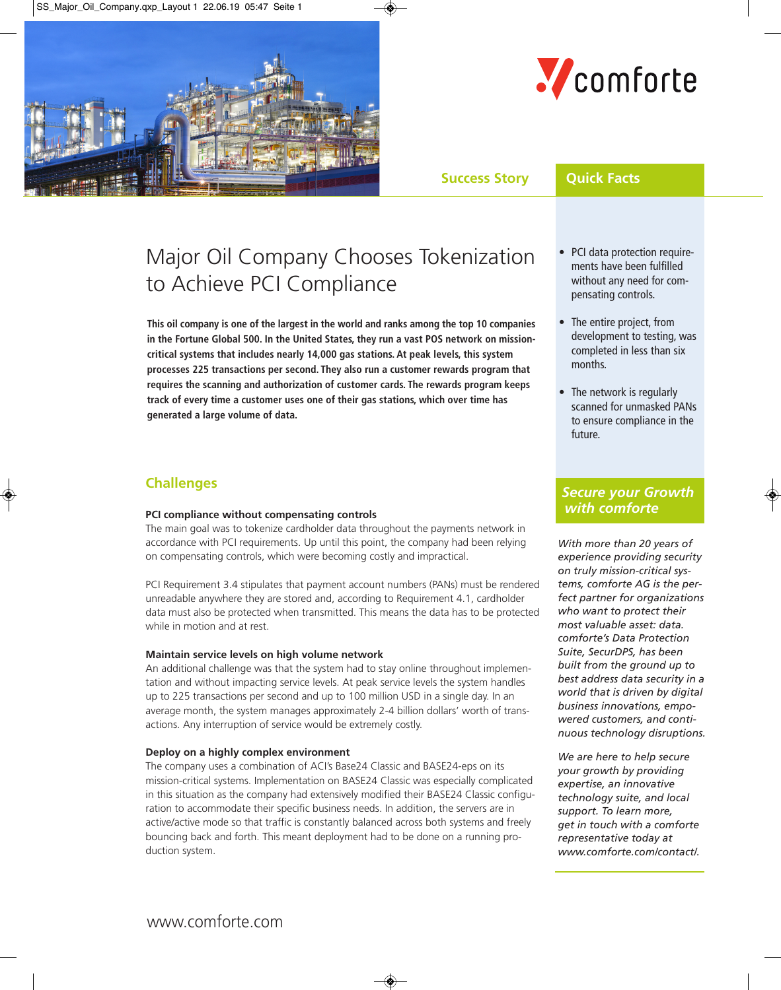



# **Success Story Quick Facts**

# Major Oil Company Chooses Tokenization to Achieve PCI Compliance

**This oil company is one of the largest in the world and ranks among the top 10 companies in the Fortune Global 500. In the United States, they run a vast POS network on missioncritical systems that includes nearly 14,000 gas stations. At peak levels, this system processes 225 transactions per second. They also run a customer rewards program that requires the scanning and authorization of customer cards. The rewards program keeps track of every time a customer uses one of their gas stations, which over time has generated a large volume of data.**

# **Challenges**

#### **PCI compliance without compensating controls**

The main goal was to tokenize cardholder data throughout the payments network in accordance with PCI requirements. Up until this point, the company had been relying on compensating controls, which were becoming costly and impractical.

PCI Requirement 3.4 stipulates that payment account numbers (PANs) must be rendered unreadable anywhere they are stored and, according to Requirement 4.1, cardholder data must also be protected when transmitted. This means the data has to be protected while in motion and at rest.

# **Maintain service levels on high volume network**

An additional challenge was that the system had to stay online throughout implementation and without impacting service levels. At peak service levels the system handles up to 225 transactions per second and up to 100 million USD in a single day. In an average month, the system manages approximately 2-4 billion dollars' worth of transactions. Any interruption of service would be extremely costly.

# **Deploy on a highly complex environment**

The company uses a combination of ACI's Base24 Classic and BASE24-eps on its mission-critical systems. Implementation on BASE24 Classic was especially complicated in this situation as the company had extensively modified their BASE24 Classic configuration to accommodate their specific business needs. In addition, the servers are in active/active mode so that traffic is constantly balanced across both systems and freely bouncing back and forth. This meant deployment had to be done on a running production system.

- PCI data protection require ments have been fulfilled without any need for com pensating controls.
- The entire project, from development to testing, was completed in less than six months.
- The network is regularly scanned for unmasked PANs to ensure compliance in the future.

# *Secure your Growth with comforte*

*With more than 20 years of experience providing security on truly mission-critical systems, comforte AG is the perfect partner for organizations who want to protect their most valuable asset: data. comforte's Data Protection Suite, SecurDPS, has been built from the ground up to best address data security in a world that is driven by digital business innovations, empowered customers, and continuous technology disruptions.*

*We are here to help secure your growth by providing expertise, an innovative technology suite, and local support. To learn more, get in touch with a comforte representative today at www.comforte.com/contact/.*